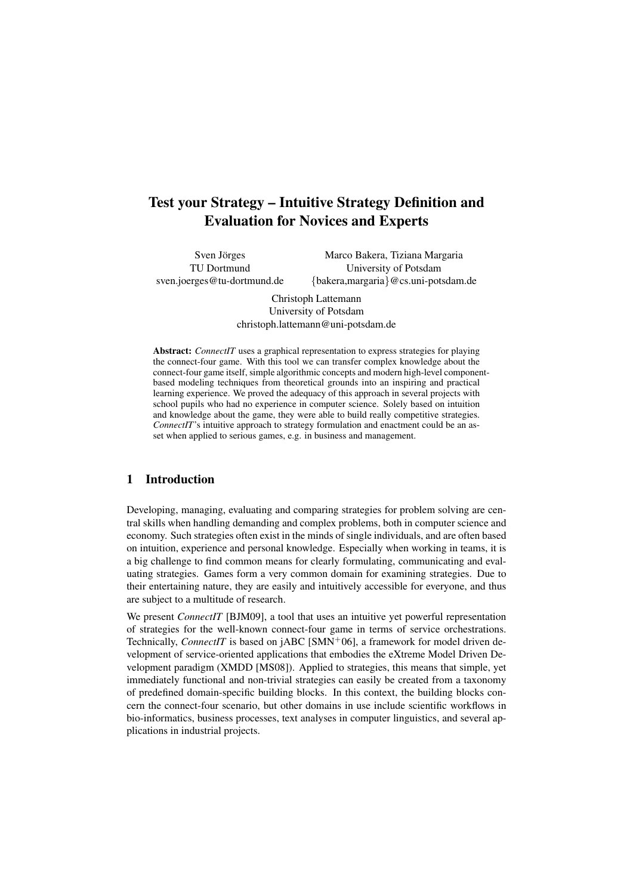# Test your Strategy – Intuitive Strategy Definition and Evaluation for Novices and Experts

Sven Jörges TU Dortmund sven.joerges@tu-dortmund.de

Marco Bakera, Tiziana Margaria University of Potsdam {bakera,margaria}@cs.uni-potsdam.de

Christoph Lattemann University of Potsdam christoph.lattemann@uni-potsdam.de

Abstract: *ConnectIT* uses a graphical representation to express strategies for playing the connect-four game. With this tool we can transfer complex knowledge about the connect-four game itself, simple algorithmic concepts and modern high-level componentbased modeling techniques from theoretical grounds into an inspiring and practical learning experience. We proved the adequacy of this approach in several projects with school pupils who had no experience in computer science. Solely based on intuition and knowledge about the game, they were able to build really competitive strategies. *ConnectIT*'s intuitive approach to strategy formulation and enactment could be an asset when applied to serious games, e.g. in business and management.

#### 1 Introduction

Developing, managing, evaluating and comparing strategies for problem solving are central skills when handling demanding and complex problems, both in computer science and economy. Such strategies often exist in the minds of single individuals, and are often based on intuition, experience and personal knowledge. Especially when working in teams, it is a big challenge to find common means for clearly formulating, communicating and evaluating strategies. Games form a very common domain for examining strategies. Due to their entertaining nature, they are easily and intuitively accessible for everyone, and thus are subject to a multitude of research.

We present *ConnectIT* [BJM09], a tool that uses an intuitive yet powerful representation of strategies for the well-known connect-four game in terms of service orchestrations. Technically, *ConnectIT* is based on  $iABC$  [SMN<sup>+</sup>06], a framework for model driven development of service-oriented applications that embodies the eXtreme Model Driven Development paradigm (XMDD [MS08]). Applied to strategies, this means that simple, yet immediately functional and non-trivial strategies can easily be created from a taxonomy of predefined domain-specific building blocks. In this context, the building blocks concern the connect-four scenario, but other domains in use include scientific workflows in bio-informatics, business processes, text analyses in computer linguistics, and several applications in industrial projects.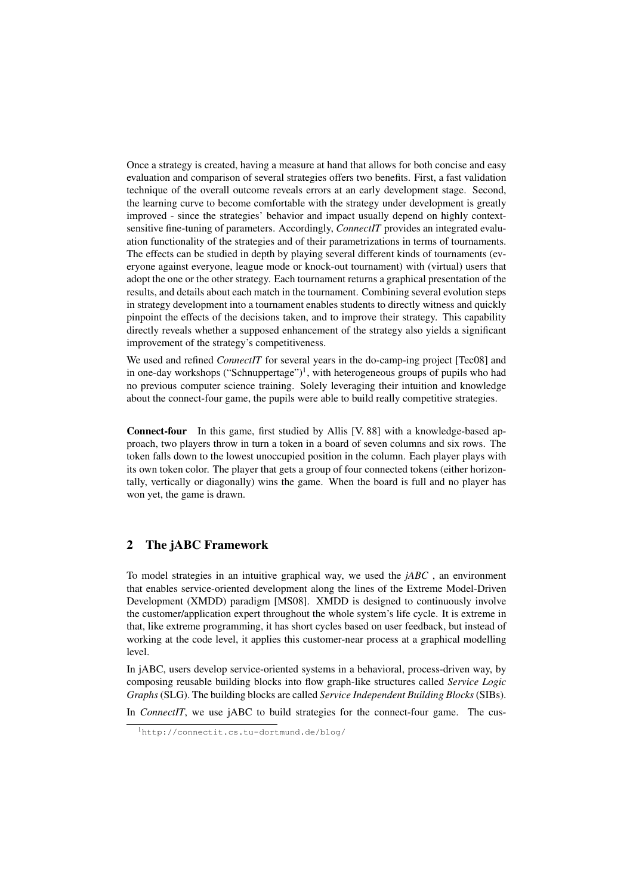Once a strategy is created, having a measure at hand that allows for both concise and easy evaluation and comparison of several strategies offers two benefits. First, a fast validation technique of the overall outcome reveals errors at an early development stage. Second, the learning curve to become comfortable with the strategy under development is greatly improved - since the strategies' behavior and impact usually depend on highly contextsensitive fine-tuning of parameters. Accordingly, *ConnectIT* provides an integrated evaluation functionality of the strategies and of their parametrizations in terms of tournaments. The effects can be studied in depth by playing several different kinds of tournaments (everyone against everyone, league mode or knock-out tournament) with (virtual) users that adopt the one or the other strategy. Each tournament returns a graphical presentation of the results, and details about each match in the tournament. Combining several evolution steps in strategy development into a tournament enables students to directly witness and quickly pinpoint the effects of the decisions taken, and to improve their strategy. This capability directly reveals whether a supposed enhancement of the strategy also yields a significant improvement of the strategy's competitiveness.

We used and refined *ConnectIT* for several years in the do-camp-ing project [Tec08] and in one-day workshops ("Schnuppertage")<sup>1</sup>, with heterogeneous groups of pupils who had no previous computer science training. Solely leveraging their intuition and knowledge about the connect-four game, the pupils were able to build really competitive strategies.

Connect-four In this game, first studied by Allis [V. 88] with a knowledge-based approach, two players throw in turn a token in a board of seven columns and six rows. The token falls down to the lowest unoccupied position in the column. Each player plays with its own token color. The player that gets a group of four connected tokens (either horizontally, vertically or diagonally) wins the game. When the board is full and no player has won yet, the game is drawn.

#### 2 The jABC Framework

To model strategies in an intuitive graphical way, we used the *jABC* , an environment that enables service-oriented development along the lines of the Extreme Model-Driven Development (XMDD) paradigm [MS08]. XMDD is designed to continuously involve the customer/application expert throughout the whole system's life cycle. It is extreme in that, like extreme programming, it has short cycles based on user feedback, but instead of working at the code level, it applies this customer-near process at a graphical modelling level.

In jABC, users develop service-oriented systems in a behavioral, process-driven way, by composing reusable building blocks into flow graph-like structures called *Service Logic Graphs*(SLG). The building blocks are called *Service Independent Building Blocks*(SIBs).

In *ConnectIT*, we use jABC to build strategies for the connect-four game. The cus-

<sup>1</sup>http://connectit.cs.tu-dortmund.de/blog/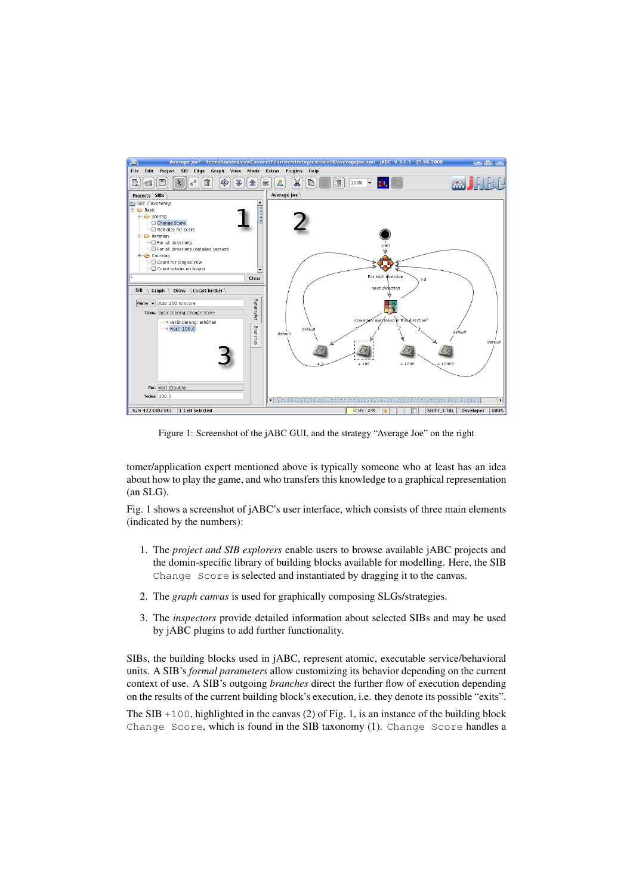

Figure 1: Screenshot of the jABC GUI, and the strategy "Average Joe" on the right

tomer/application expert mentioned above is typically someone who at least has an idea about how to play the game, and who transfers this knowledge to a graphical representation (an SLG).

Fig. 1 shows a screenshot of jABC's user interface, which consists of three main elements (indicated by the numbers):

- 1. The *project and SIB explorers* enable users to browse available jABC projects and the domin-specific library of building blocks available for modelling. Here, the SIB Change Score is selected and instantiated by dragging it to the canvas.
- 2. The *graph canvas* is used for graphically composing SLGs/strategies.
- 3. The *inspectors* provide detailed information about selected SIBs and may be used by jABC plugins to add further functionality.

SIBs, the building blocks used in jABC, represent atomic, executable service/behavioral units. A SIB's *formal parameters* allow customizing its behavior depending on the current context of use. A SIB's outgoing *branches* direct the further flow of execution depending on the results of the current building block's execution, i.e. they denote its possible "exits".

The SIB +100, highlighted in the canvas (2) of Fig. 1, is an instance of the building block Change Score, which is found in the SIB taxonomy (1). Change Score handles a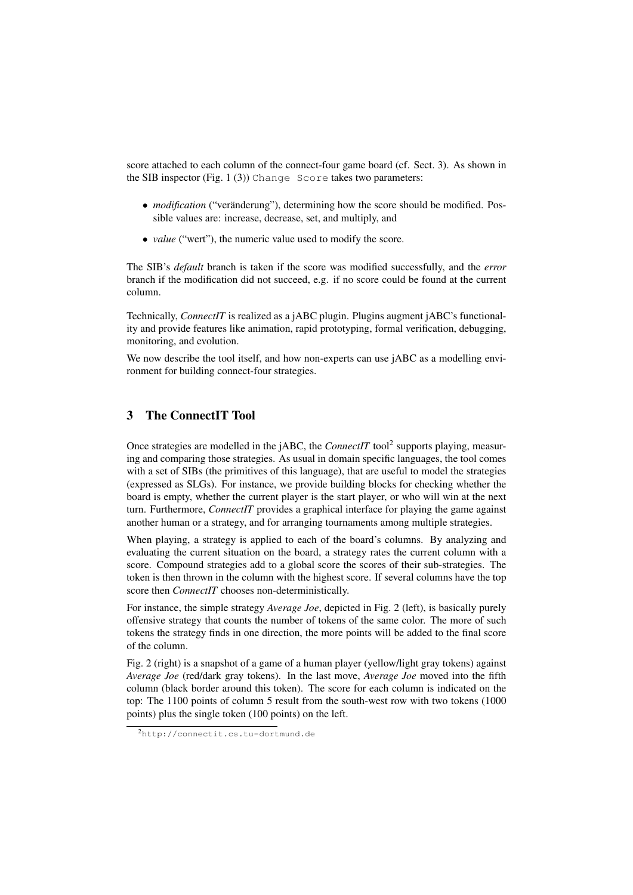score attached to each column of the connect-four game board (cf. Sect. 3). As shown in the SIB inspector (Fig. 1 (3)) Change Score takes two parameters:

- *modification* ("veränderung"), determining how the score should be modified. Possible values are: increase, decrease, set, and multiply, and
- *value* ("wert"), the numeric value used to modify the score.

The SIB's *default* branch is taken if the score was modified successfully, and the *error* branch if the modification did not succeed, e.g. if no score could be found at the current column.

Technically, *ConnectIT* is realized as a jABC plugin. Plugins augment jABC's functionality and provide features like animation, rapid prototyping, formal verification, debugging, monitoring, and evolution.

We now describe the tool itself, and how non-experts can use jABC as a modelling environment for building connect-four strategies.

## 3 The ConnectIT Tool

Once strategies are modelled in the jABC, the *ConnectIT* tool<sup>2</sup> supports playing, measuring and comparing those strategies. As usual in domain specific languages, the tool comes with a set of SIBs (the primitives of this language), that are useful to model the strategies (expressed as SLGs). For instance, we provide building blocks for checking whether the board is empty, whether the current player is the start player, or who will win at the next turn. Furthermore, *ConnectIT* provides a graphical interface for playing the game against another human or a strategy, and for arranging tournaments among multiple strategies.

When playing, a strategy is applied to each of the board's columns. By analyzing and evaluating the current situation on the board, a strategy rates the current column with a score. Compound strategies add to a global score the scores of their sub-strategies. The token is then thrown in the column with the highest score. If several columns have the top score then *ConnectIT* chooses non-deterministically.

For instance, the simple strategy *Average Joe*, depicted in Fig. 2 (left), is basically purely offensive strategy that counts the number of tokens of the same color. The more of such tokens the strategy finds in one direction, the more points will be added to the final score of the column.

Fig. 2 (right) is a snapshot of a game of a human player (yellow/light gray tokens) against *Average Joe* (red/dark gray tokens). In the last move, *Average Joe* moved into the fifth column (black border around this token). The score for each column is indicated on the top: The 1100 points of column 5 result from the south-west row with two tokens (1000 points) plus the single token (100 points) on the left.

<sup>2</sup>http://connectit.cs.tu-dortmund.de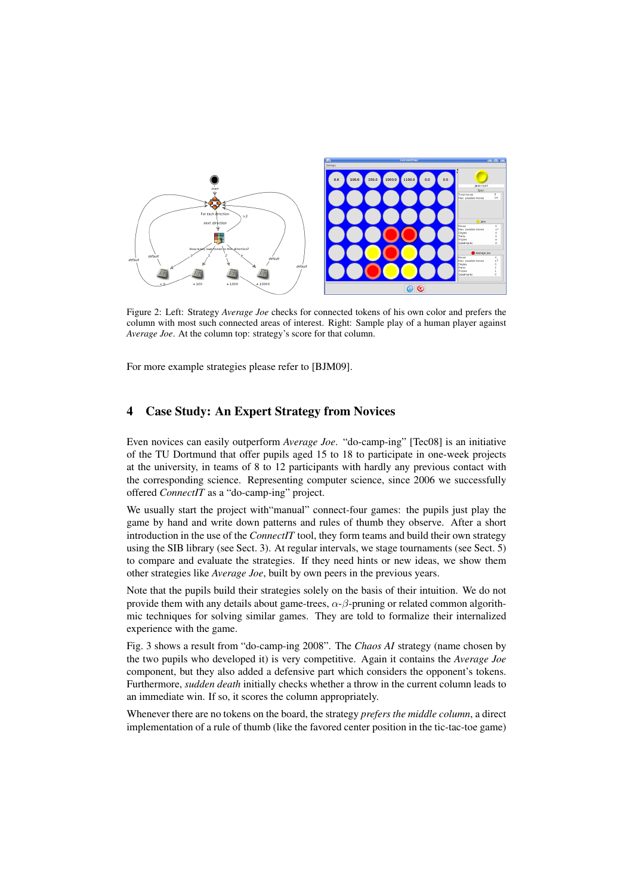

Figure 2: Left: Strategy *Average Joe* checks for connected tokens of his own color and prefers the column with most such connected areas of interest. Right: Sample play of a human player against *Average Joe*. At the column top: strategy's score for that column.

For more example strategies please refer to [BJM09].

#### 4 Case Study: An Expert Strategy from Novices

Even novices can easily outperform *Average Joe*. "do-camp-ing" [Tec08] is an initiative of the TU Dortmund that offer pupils aged 15 to 18 to participate in one-week projects at the university, in teams of 8 to 12 participants with hardly any previous contact with the corresponding science. Representing computer science, since 2006 we successfully offered *ConnectIT* as a "do-camp-ing" project.

We usually start the project with"manual" connect-four games: the pupils just play the game by hand and write down patterns and rules of thumb they observe. After a short introduction in the use of the *ConnectIT* tool, they form teams and build their own strategy using the SIB library (see Sect. 3). At regular intervals, we stage tournaments (see Sect. 5) to compare and evaluate the strategies. If they need hints or new ideas, we show them other strategies like *Average Joe*, built by own peers in the previous years.

Note that the pupils build their strategies solely on the basis of their intuition. We do not provide them with any details about game-trees,  $\alpha$ - $\beta$ -pruning or related common algorithmic techniques for solving similar games. They are told to formalize their internalized experience with the game.

Fig. 3 shows a result from "do-camp-ing 2008". The *Chaos AI* strategy (name chosen by the two pupils who developed it) is very competitive. Again it contains the *Average Joe* component, but they also added a defensive part which considers the opponent's tokens. Furthermore, *sudden death* initially checks whether a throw in the current column leads to an immediate win. If so, it scores the column appropriately.

Whenever there are no tokens on the board, the strategy *prefers the middle column*, a direct implementation of a rule of thumb (like the favored center position in the tic-tac-toe game)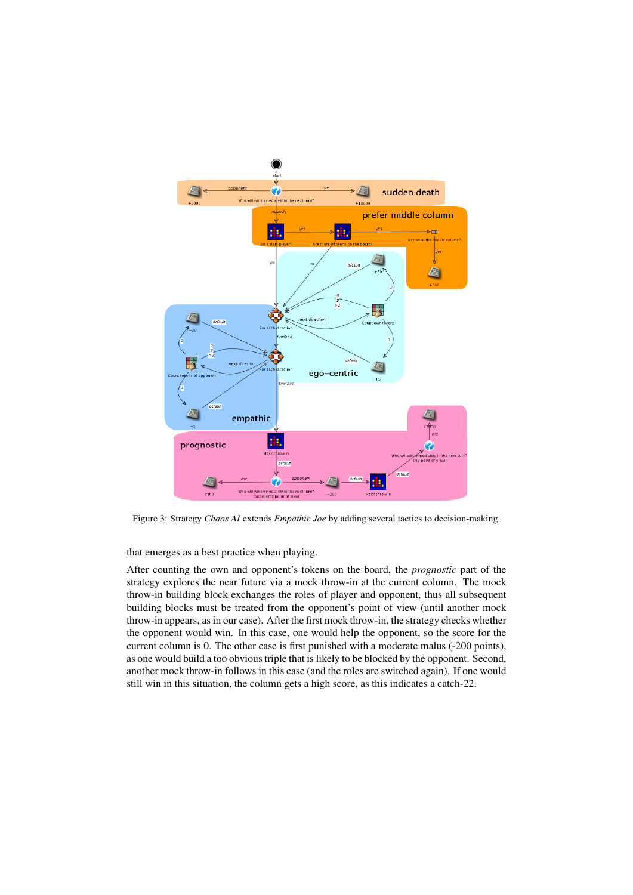

Figure 3: Strategy *Chaos AI* extends *Empathic Joe* by adding several tactics to decision-making.

that emerges as a best practice when playing.

After counting the own and opponent's tokens on the board, the *prognostic* part of the strategy explores the near future via a mock throw-in at the current column. The mock throw-in building block exchanges the roles of player and opponent, thus all subsequent building blocks must be treated from the opponent's point of view (until another mock throw-in appears, as in our case). After the first mock throw-in, the strategy checks whether the opponent would win. In this case, one would help the opponent, so the score for the current column is 0. The other case is first punished with a moderate malus (-200 points), as one would build a too obvious triple that is likely to be blocked by the opponent. Second, another mock throw-in follows in this case (and the roles are switched again). If one would still win in this situation, the column gets a high score, as this indicates a catch-22.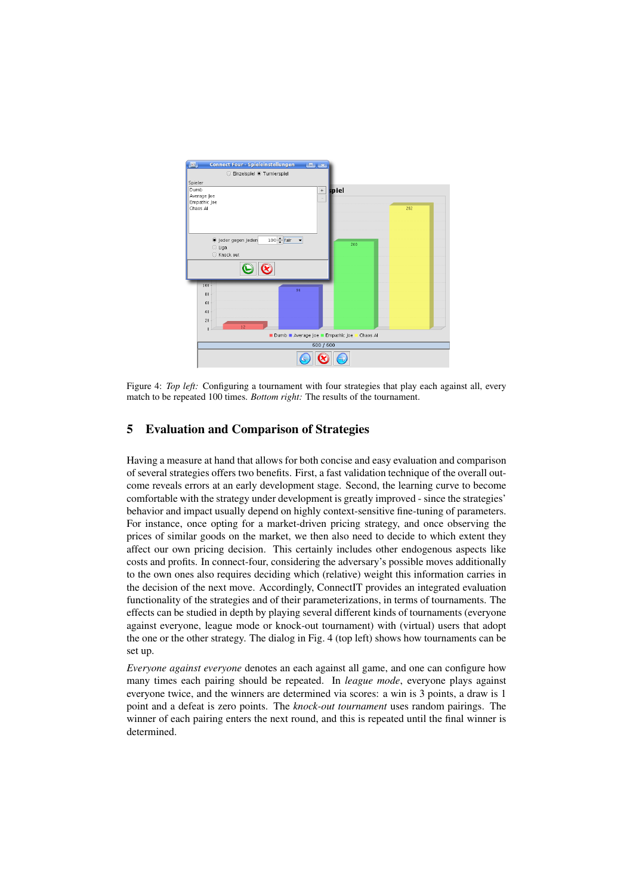

Figure 4: *Top left:* Configuring a tournament with four strategies that play each against all, every match to be repeated 100 times. *Bottom right:* The results of the tournament.

## 5 Evaluation and Comparison of Strategies

Having a measure at hand that allows for both concise and easy evaluation and comparison of several strategies offers two benefits. First, a fast validation technique of the overall outcome reveals errors at an early development stage. Second, the learning curve to become comfortable with the strategy under development is greatly improved - since the strategies' behavior and impact usually depend on highly context-sensitive fine-tuning of parameters. For instance, once opting for a market-driven pricing strategy, and once observing the prices of similar goods on the market, we then also need to decide to which extent they affect our own pricing decision. This certainly includes other endogenous aspects like costs and profits. In connect-four, considering the adversary's possible moves additionally to the own ones also requires deciding which (relative) weight this information carries in the decision of the next move. Accordingly, ConnectIT provides an integrated evaluation functionality of the strategies and of their parameterizations, in terms of tournaments. The effects can be studied in depth by playing several different kinds of tournaments (everyone against everyone, league mode or knock-out tournament) with (virtual) users that adopt the one or the other strategy. The dialog in Fig. 4 (top left) shows how tournaments can be set up.

*Everyone against everyone* denotes an each against all game, and one can configure how many times each pairing should be repeated. In *league mode*, everyone plays against everyone twice, and the winners are determined via scores: a win is 3 points, a draw is 1 point and a defeat is zero points. The *knock-out tournament* uses random pairings. The winner of each pairing enters the next round, and this is repeated until the final winner is determined.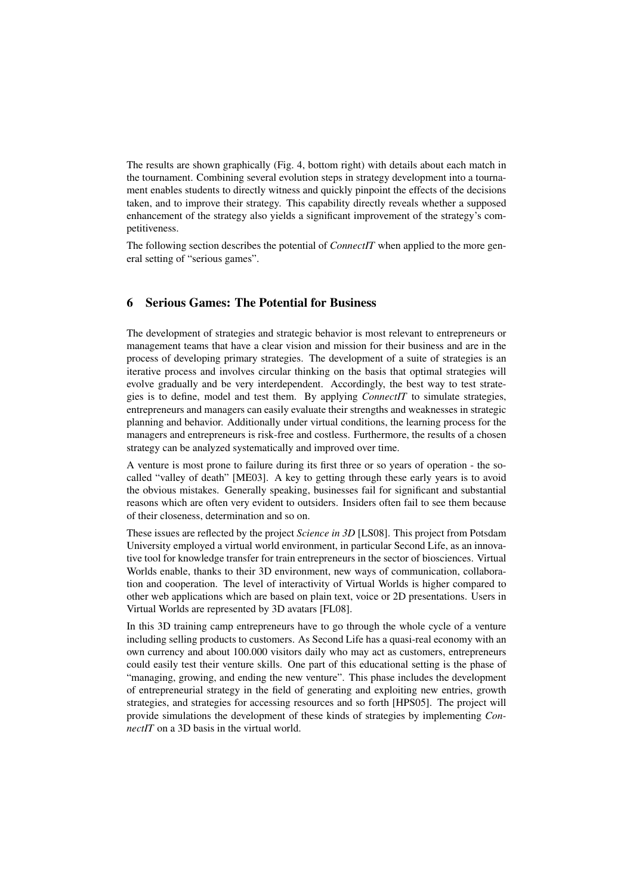The results are shown graphically (Fig. 4, bottom right) with details about each match in the tournament. Combining several evolution steps in strategy development into a tournament enables students to directly witness and quickly pinpoint the effects of the decisions taken, and to improve their strategy. This capability directly reveals whether a supposed enhancement of the strategy also yields a significant improvement of the strategy's competitiveness.

The following section describes the potential of *ConnectIT* when applied to the more general setting of "serious games".

### 6 Serious Games: The Potential for Business

The development of strategies and strategic behavior is most relevant to entrepreneurs or management teams that have a clear vision and mission for their business and are in the process of developing primary strategies. The development of a suite of strategies is an iterative process and involves circular thinking on the basis that optimal strategies will evolve gradually and be very interdependent. Accordingly, the best way to test strategies is to define, model and test them. By applying *ConnectIT* to simulate strategies, entrepreneurs and managers can easily evaluate their strengths and weaknesses in strategic planning and behavior. Additionally under virtual conditions, the learning process for the managers and entrepreneurs is risk-free and costless. Furthermore, the results of a chosen strategy can be analyzed systematically and improved over time.

A venture is most prone to failure during its first three or so years of operation - the socalled "valley of death" [ME03]. A key to getting through these early years is to avoid the obvious mistakes. Generally speaking, businesses fail for significant and substantial reasons which are often very evident to outsiders. Insiders often fail to see them because of their closeness, determination and so on.

These issues are reflected by the project *Science in 3D* [LS08]. This project from Potsdam University employed a virtual world environment, in particular Second Life, as an innovative tool for knowledge transfer for train entrepreneurs in the sector of biosciences. Virtual Worlds enable, thanks to their 3D environment, new ways of communication, collaboration and cooperation. The level of interactivity of Virtual Worlds is higher compared to other web applications which are based on plain text, voice or 2D presentations. Users in Virtual Worlds are represented by 3D avatars [FL08].

In this 3D training camp entrepreneurs have to go through the whole cycle of a venture including selling products to customers. As Second Life has a quasi-real economy with an own currency and about 100.000 visitors daily who may act as customers, entrepreneurs could easily test their venture skills. One part of this educational setting is the phase of "managing, growing, and ending the new venture". This phase includes the development of entrepreneurial strategy in the field of generating and exploiting new entries, growth strategies, and strategies for accessing resources and so forth [HPS05]. The project will provide simulations the development of these kinds of strategies by implementing *ConnectIT* on a 3D basis in the virtual world.